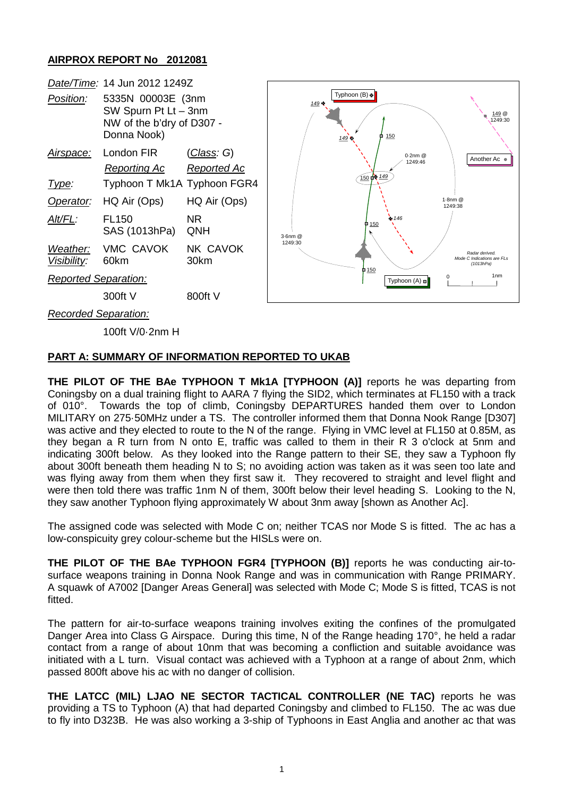## **AIRPROX REPORT No 2012081**

|                             | Date/Time: 14 Jun 2012 1249Z                                                          |                    |         |                                      |                                                           |
|-----------------------------|---------------------------------------------------------------------------------------|--------------------|---------|--------------------------------------|-----------------------------------------------------------|
| Position:                   | 5335N 00003E (3nm<br>SW Spurn Pt Lt - 3nm<br>NW of the b'dry of D307 -<br>Donna Nook) |                    | 149 +   | Typhoon $(B) \oplus$<br>150<br>149 号 | <u>149</u> @<br>1249:30                                   |
| <u>Airspace:</u>            | London FIR                                                                            | <u>(Class</u> : G) |         | $0.2$ nm $@$                         | Another Ac •                                              |
|                             | <b>Reporting Ac</b>                                                                   | Reported Ac        |         | 1249:46                              |                                                           |
| <u>Type:</u>                | Typhoon T Mk1A Typhoon FGR4                                                           |                    |         | 150 个 149                            |                                                           |
| Operator:                   | HQ Air (Ops)                                                                          | HQ Air (Ops)       |         |                                      | 1-8nm @<br>1249:38                                        |
| Alt/FL:                     | <b>FL150</b><br>SAS (1013hPa)                                                         | NR.<br>QNH         | 3-6nm @ | $+ 146$<br>0.150                     |                                                           |
| Weather:<br>Visibility:     | VMC CAVOK<br>60km                                                                     | NK CAVOK<br>30km   | 1249:30 |                                      | Radar derived.<br>Mode C Indications are FLs<br>(1013hPa) |
| <b>Reported Separation:</b> |                                                                                       |                    |         | 150<br>m<br>Typhoon $(A) \square$    | 1 <sub>nm</sub>                                           |
|                             | 300ft V                                                                               | 800ft V            |         |                                      |                                                           |
| Recorded Separation:        |                                                                                       |                    |         |                                      |                                                           |
|                             | 100ft V/0-2nm H                                                                       |                    |         |                                      |                                                           |

## **PART A: SUMMARY OF INFORMATION REPORTED TO UKAB**

**THE PILOT OF THE BAe TYPHOON T Mk1A [TYPHOON (A)]** reports he was departing from Coningsby on a dual training flight to AARA 7 flying the SID2, which terminates at FL150 with a track of 010°. Towards the top of climb, Coningsby DEPARTURES handed them over to London MILITARY on 275·50MHz under a TS. The controller informed them that Donna Nook Range [D307] was active and they elected to route to the N of the range. Flying in VMC level at FL150 at 0.85M, as they began a R turn from N onto E, traffic was called to them in their R 3 o'clock at 5nm and indicating 300ft below. As they looked into the Range pattern to their SE, they saw a Typhoon fly about 300ft beneath them heading N to S; no avoiding action was taken as it was seen too late and was flying away from them when they first saw it. They recovered to straight and level flight and were then told there was traffic 1nm N of them, 300ft below their level heading S. Looking to the N, they saw another Typhoon flying approximately W about 3nm away [shown as Another Ac].

The assigned code was selected with Mode C on; neither TCAS nor Mode S is fitted. The ac has a low-conspicuity grey colour-scheme but the HISLs were on.

**THE PILOT OF THE BAe TYPHOON FGR4 [TYPHOON (B)]** reports he was conducting air-tosurface weapons training in Donna Nook Range and was in communication with Range PRIMARY. A squawk of A7002 [Danger Areas General] was selected with Mode C; Mode S is fitted, TCAS is not fitted.

The pattern for air-to-surface weapons training involves exiting the confines of the promulgated Danger Area into Class G Airspace. During this time, N of the Range heading 170°, he held a radar contact from a range of about 10nm that was becoming a confliction and suitable avoidance was initiated with a L turn. Visual contact was achieved with a Typhoon at a range of about 2nm, which passed 800ft above his ac with no danger of collision.

**THE LATCC (MIL) LJAO NE SECTOR TACTICAL CONTROLLER (NE TAC)** reports he was providing a TS to Typhoon (A) that had departed Coningsby and climbed to FL150. The ac was due to fly into D323B. He was also working a 3-ship of Typhoons in East Anglia and another ac that was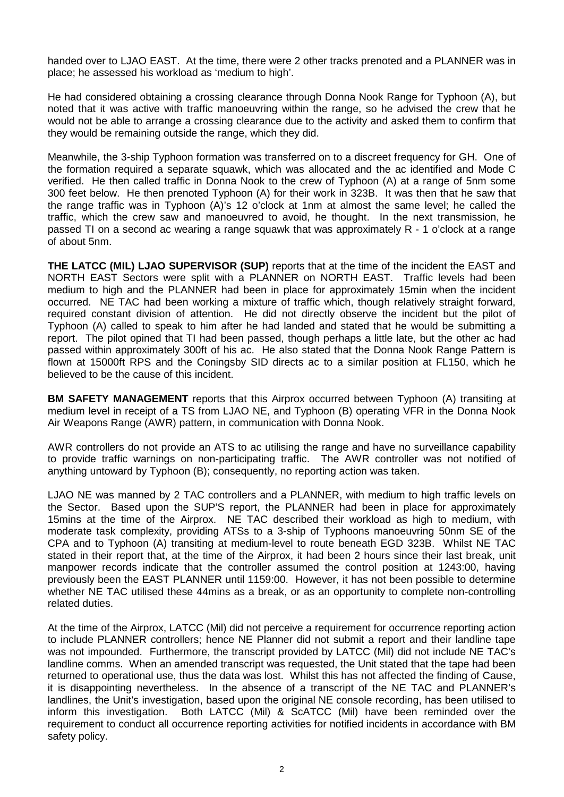handed over to LJAO EAST. At the time, there were 2 other tracks prenoted and a PLANNER was in place; he assessed his workload as 'medium to high'.

He had considered obtaining a crossing clearance through Donna Nook Range for Typhoon (A), but noted that it was active with traffic manoeuvring within the range, so he advised the crew that he would not be able to arrange a crossing clearance due to the activity and asked them to confirm that they would be remaining outside the range, which they did.

Meanwhile, the 3-ship Typhoon formation was transferred on to a discreet frequency for GH. One of the formation required a separate squawk, which was allocated and the ac identified and Mode C verified. He then called traffic in Donna Nook to the crew of Typhoon (A) at a range of 5nm some 300 feet below. He then prenoted Typhoon (A) for their work in 323B. It was then that he saw that the range traffic was in Typhoon (A)'s 12 o'clock at 1nm at almost the same level; he called the traffic, which the crew saw and manoeuvred to avoid, he thought. In the next transmission, he passed TI on a second ac wearing a range squawk that was approximately R - 1 o'clock at a range of about 5nm.

**THE LATCC (MIL) LJAO SUPERVISOR (SUP)** reports that at the time of the incident the EAST and NORTH EAST Sectors were split with a PLANNER on NORTH EAST. Traffic levels had been medium to high and the PLANNER had been in place for approximately 15min when the incident occurred. NE TAC had been working a mixture of traffic which, though relatively straight forward, required constant division of attention. He did not directly observe the incident but the pilot of Typhoon (A) called to speak to him after he had landed and stated that he would be submitting a report. The pilot opined that TI had been passed, though perhaps a little late, but the other ac had passed within approximately 300ft of his ac. He also stated that the Donna Nook Range Pattern is flown at 15000ft RPS and the Coningsby SID directs ac to a similar position at FL150, which he believed to be the cause of this incident.

**BM SAFETY MANAGEMENT** reports that this Airprox occurred between Typhoon (A) transiting at medium level in receipt of a TS from LJAO NE, and Typhoon (B) operating VFR in the Donna Nook Air Weapons Range (AWR) pattern, in communication with Donna Nook.

AWR controllers do not provide an ATS to ac utilising the range and have no surveillance capability to provide traffic warnings on non-participating traffic. The AWR controller was not notified of anything untoward by Typhoon (B); consequently, no reporting action was taken.

LJAO NE was manned by 2 TAC controllers and a PLANNER, with medium to high traffic levels on the Sector. Based upon the SUP'S report, the PLANNER had been in place for approximately 15mins at the time of the Airprox. NE TAC described their workload as high to medium, with moderate task complexity, providing ATSs to a 3-ship of Typhoons manoeuvring 50nm SE of the CPA and to Typhoon (A) transiting at medium-level to route beneath EGD 323B. Whilst NE TAC stated in their report that, at the time of the Airprox, it had been 2 hours since their last break, unit manpower records indicate that the controller assumed the control position at 1243:00, having previously been the EAST PLANNER until 1159:00. However, it has not been possible to determine whether NE TAC utilised these 44mins as a break, or as an opportunity to complete non-controlling related duties.

At the time of the Airprox, LATCC (Mil) did not perceive a requirement for occurrence reporting action to include PLANNER controllers; hence NE Planner did not submit a report and their landline tape was not impounded. Furthermore, the transcript provided by LATCC (Mil) did not include NE TAC's landline comms. When an amended transcript was requested, the Unit stated that the tape had been returned to operational use, thus the data was lost. Whilst this has not affected the finding of Cause, it is disappointing nevertheless. In the absence of a transcript of the NE TAC and PLANNER's landlines, the Unit's investigation, based upon the original NE console recording, has been utilised to inform this investigation. Both LATCC (Mil) & ScATCC (Mil) have been reminded over the requirement to conduct all occurrence reporting activities for notified incidents in accordance with BM safety policy.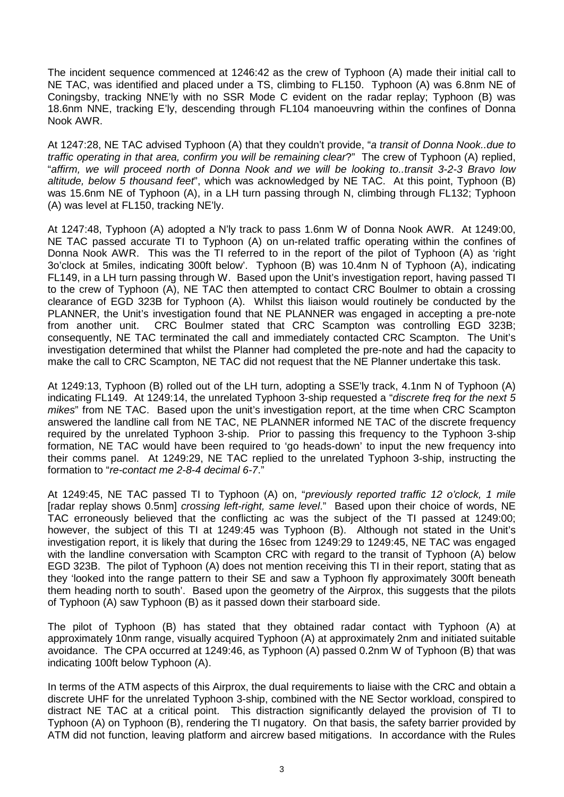The incident sequence commenced at 1246:42 as the crew of Typhoon (A) made their initial call to NE TAC, was identified and placed under a TS, climbing to FL150. Typhoon (A) was 6.8nm NE of Coningsby, tracking NNE'ly with no SSR Mode C evident on the radar replay; Typhoon (B) was 18.6nm NNE, tracking E'ly, descending through FL104 manoeuvring within the confines of Donna Nook AWR.

At 1247:28, NE TAC advised Typhoon (A) that they couldn't provide, "*a transit of Donna Nook..due to traffic operating in that area, confirm you will be remaining clear*?" The crew of Typhoon (A) replied, "*affirm, we will proceed north of Donna Nook and we will be looking to..transit 3-2-3 Bravo low altitude, below 5 thousand feet*", which was acknowledged by NE TAC. At this point, Typhoon (B) was 15.6nm NE of Typhoon (A), in a LH turn passing through N, climbing through FL132; Typhoon (A) was level at FL150, tracking NE'ly.

At 1247:48, Typhoon (A) adopted a N'ly track to pass 1.6nm W of Donna Nook AWR. At 1249:00, NE TAC passed accurate TI to Typhoon (A) on un-related traffic operating within the confines of Donna Nook AWR. This was the TI referred to in the report of the pilot of Typhoon (A) as 'right 3o'clock at 5miles, indicating 300ft below'. Typhoon (B) was 10.4nm N of Typhoon (A), indicating FL149, in a LH turn passing through W. Based upon the Unit's investigation report, having passed TI to the crew of Typhoon (A), NE TAC then attempted to contact CRC Boulmer to obtain a crossing clearance of EGD 323B for Typhoon (A). Whilst this liaison would routinely be conducted by the PLANNER, the Unit's investigation found that NE PLANNER was engaged in accepting a pre-note from another unit. CRC Boulmer stated that CRC Scampton was controlling EGD 323B; consequently, NE TAC terminated the call and immediately contacted CRC Scampton. The Unit's investigation determined that whilst the Planner had completed the pre-note and had the capacity to make the call to CRC Scampton, NE TAC did not request that the NE Planner undertake this task.

At 1249:13, Typhoon (B) rolled out of the LH turn, adopting a SSE'ly track, 4.1nm N of Typhoon (A) indicating FL149. At 1249:14, the unrelated Typhoon 3-ship requested a "*discrete freq for the next 5 mikes*" from NE TAC. Based upon the unit's investigation report, at the time when CRC Scampton answered the landline call from NE TAC, NE PLANNER informed NE TAC of the discrete frequency required by the unrelated Typhoon 3-ship. Prior to passing this frequency to the Typhoon 3-ship formation, NE TAC would have been required to 'go heads-down' to input the new frequency into their comms panel. At 1249:29, NE TAC replied to the unrelated Typhoon 3-ship, instructing the formation to "*re-contact me 2-8-4 decimal 6-7*."

At 1249:45, NE TAC passed TI to Typhoon (A) on, "*previously reported traffic 12 o'clock, 1 mile* [radar replay shows 0.5nm] *crossing left-right, same level*." Based upon their choice of words, NE TAC erroneously believed that the conflicting ac was the subject of the TI passed at 1249:00; however, the subject of this TI at 1249:45 was Typhoon (B). Although not stated in the Unit's investigation report, it is likely that during the 16sec from 1249:29 to 1249:45, NE TAC was engaged with the landline conversation with Scampton CRC with regard to the transit of Typhoon (A) below EGD 323B. The pilot of Typhoon (A) does not mention receiving this TI in their report, stating that as they 'looked into the range pattern to their SE and saw a Typhoon fly approximately 300ft beneath them heading north to south'. Based upon the geometry of the Airprox, this suggests that the pilots of Typhoon (A) saw Typhoon (B) as it passed down their starboard side.

The pilot of Typhoon (B) has stated that they obtained radar contact with Typhoon (A) at approximately 10nm range, visually acquired Typhoon (A) at approximately 2nm and initiated suitable avoidance. The CPA occurred at 1249:46, as Typhoon (A) passed 0.2nm W of Typhoon (B) that was indicating 100ft below Typhoon (A).

In terms of the ATM aspects of this Airprox, the dual requirements to liaise with the CRC and obtain a discrete UHF for the unrelated Typhoon 3-ship, combined with the NE Sector workload, conspired to distract NE TAC at a critical point. This distraction significantly delayed the provision of TI to Typhoon (A) on Typhoon (B), rendering the TI nugatory. On that basis, the safety barrier provided by ATM did not function, leaving platform and aircrew based mitigations. In accordance with the Rules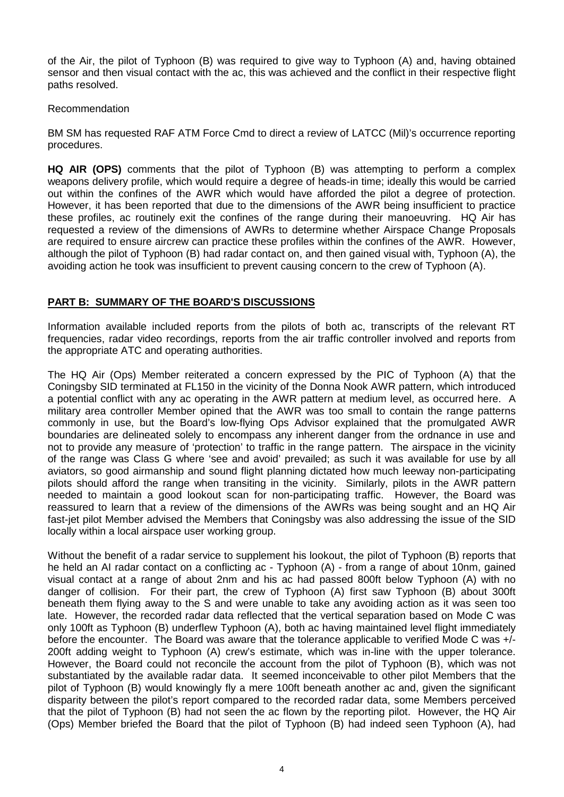of the Air, the pilot of Typhoon (B) was required to give way to Typhoon (A) and, having obtained sensor and then visual contact with the ac, this was achieved and the conflict in their respective flight paths resolved.

#### Recommendation

BM SM has requested RAF ATM Force Cmd to direct a review of LATCC (Mil)'s occurrence reporting procedures.

**HQ AIR (OPS)** comments that the pilot of Typhoon (B) was attempting to perform a complex weapons delivery profile, which would require a degree of heads-in time; ideally this would be carried out within the confines of the AWR which would have afforded the pilot a degree of protection. However, it has been reported that due to the dimensions of the AWR being insufficient to practice these profiles, ac routinely exit the confines of the range during their manoeuvring. HQ Air has requested a review of the dimensions of AWRs to determine whether Airspace Change Proposals are required to ensure aircrew can practice these profiles within the confines of the AWR. However, although the pilot of Typhoon (B) had radar contact on, and then gained visual with, Typhoon (A), the avoiding action he took was insufficient to prevent causing concern to the crew of Typhoon (A).

# **PART B: SUMMARY OF THE BOARD'S DISCUSSIONS**

Information available included reports from the pilots of both ac, transcripts of the relevant RT frequencies, radar video recordings, reports from the air traffic controller involved and reports from the appropriate ATC and operating authorities.

The HQ Air (Ops) Member reiterated a concern expressed by the PIC of Typhoon (A) that the Coningsby SID terminated at FL150 in the vicinity of the Donna Nook AWR pattern, which introduced a potential conflict with any ac operating in the AWR pattern at medium level, as occurred here. A military area controller Member opined that the AWR was too small to contain the range patterns commonly in use, but the Board's low-flying Ops Advisor explained that the promulgated AWR boundaries are delineated solely to encompass any inherent danger from the ordnance in use and not to provide any measure of 'protection' to traffic in the range pattern. The airspace in the vicinity of the range was Class G where 'see and avoid' prevailed; as such it was available for use by all aviators, so good airmanship and sound flight planning dictated how much leeway non-participating pilots should afford the range when transiting in the vicinity. Similarly, pilots in the AWR pattern needed to maintain a good lookout scan for non-participating traffic. However, the Board was reassured to learn that a review of the dimensions of the AWRs was being sought and an HQ Air fast-jet pilot Member advised the Members that Coningsby was also addressing the issue of the SID locally within a local airspace user working group.

Without the benefit of a radar service to supplement his lookout, the pilot of Typhoon (B) reports that he held an AI radar contact on a conflicting ac - Typhoon (A) - from a range of about 10nm, gained visual contact at a range of about 2nm and his ac had passed 800ft below Typhoon (A) with no danger of collision. For their part, the crew of Typhoon (A) first saw Typhoon (B) about 300ft beneath them flying away to the S and were unable to take any avoiding action as it was seen too late. However, the recorded radar data reflected that the vertical separation based on Mode C was only 100ft as Typhoon (B) underflew Typhoon (A), both ac having maintained level flight immediately before the encounter. The Board was aware that the tolerance applicable to verified Mode C was +/- 200ft adding weight to Typhoon (A) crew's estimate, which was in-line with the upper tolerance. However, the Board could not reconcile the account from the pilot of Typhoon (B), which was not substantiated by the available radar data. It seemed inconceivable to other pilot Members that the pilot of Typhoon (B) would knowingly fly a mere 100ft beneath another ac and, given the significant disparity between the pilot's report compared to the recorded radar data, some Members perceived that the pilot of Typhoon (B) had not seen the ac flown by the reporting pilot. However, the HQ Air (Ops) Member briefed the Board that the pilot of Typhoon (B) had indeed seen Typhoon (A), had